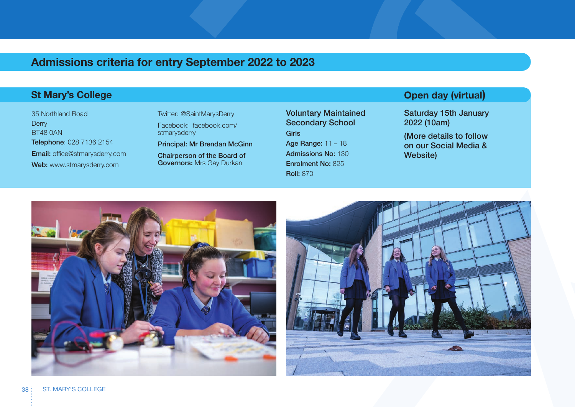## **Admissions criteria for entry September 2022 to 2023**

### **St Mary's College**

35 Northland Road **Derry** BT48 0AN Telephone: 028 7136 2154 Email: office@stmarysderry.com Web: www.stmarysderry.com

Twitter: @SaintMarysDerry Facebook: facebook.com/ stmarysderry Principal: Mr Brendan McGinn

Chairperson of the Board of Governors: Mrs Gay Durkan

Voluntary Maintained Secondary School **Girls** Age Range: 11 – 18 Admissions No: 130 Enrolment No: 825 Roll: 870

### **Open day (virtual)**

Saturday 15th January 2022 (10am)

(More details to follow on our Social Media & Website)



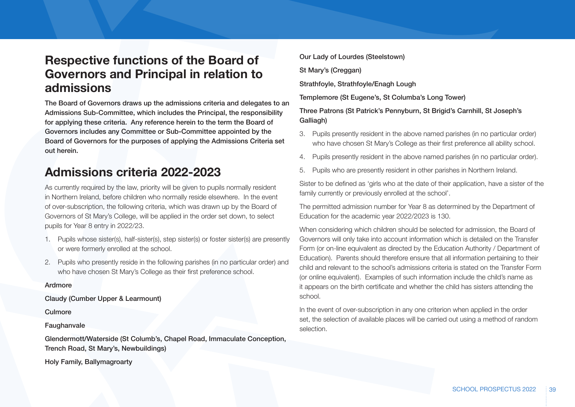# **Respective functions of the Board of Governors and Principal in relation to admissions**

The Board of Governors draws up the admissions criteria and delegates to an Admissions Sub-Committee, which includes the Principal, the responsibility for applying these criteria. Any reference herein to the term the Board of Governors includes any Committee or Sub-Committee appointed by the Board of Governors for the purposes of applying the Admissions Criteria set out herein.

# **Admissions criteria 2022-2023**

As currently required by the law, priority will be given to pupils normally resident in Northern Ireland, before children who normally reside elsewhere. In the event of over-subscription, the following criteria, which was drawn up by the Board of Governors of St Mary's College, will be applied in the order set down, to select pupils for Year 8 entry in 2022/23.

- 1. Pupils whose sister(s), half-sister(s), step sister(s) or foster sister(s) are presently or were formerly enrolled at the school.
- 2. Pupils who presently reside in the following parishes (in no particular order) and who have chosen St Mary's College as their first preference school.

#### Ardmore

Claudy (Cumber Upper & Learmount)

Culmore

#### Faughanvale

Glendermott/Waterside (St Columb's, Chapel Road, Immaculate Conception, Trench Road, St Mary's, Newbuildings)

Holy Family, Ballymagroarty

Our Lady of Lourdes (Steelstown)

St Mary's (Creggan)

Strathfoyle, Strathfoyle/Enagh Lough

Templemore (St Eugene's, St Columba's Long Tower)

Three Patrons (St Patrick's Pennyburn, St Brigid's Carnhill, St Joseph's Galliagh)

- 3. Pupils presently resident in the above named parishes (in no particular order) who have chosen St Mary's College as their first preference all ability school.
- 4. Pupils presently resident in the above named parishes (in no particular order).
- 5. Pupils who are presently resident in other parishes in Northern Ireland.

Sister to be defined as 'girls who at the date of their application, have a sister of the family currently or previously enrolled at the school'.

The permitted admission number for Year 8 as determined by the Department of Education for the academic year 2022/2023 is 130.

When considering which children should be selected for admission, the Board of Governors will only take into account information which is detailed on the Transfer Form (or on-line equivalent as directed by the Education Authority / Department of Education). Parents should therefore ensure that all information pertaining to their child and relevant to the school's admissions criteria is stated on the Transfer Form (or online equivalent). Examples of such information include the child's name as it appears on the birth certificate and whether the child has sisters attending the school.

In the event of over-subscription in any one criterion when applied in the order set, the selection of available places will be carried out using a method of random selection.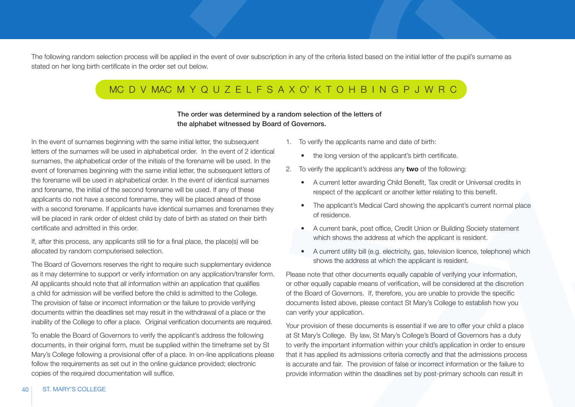The following random selection process will be applied in the event of over subscription in any of the criteria listed based on the initial letter of the pupil's surname as stated on her long birth certificate in the order set out below.

## MC D V MAC M Y Q U Z E L F S A X O' K T O H B I N G P J W R C

### The order was determined by a random selection of the letters of the alphabet witnessed by Board of Governors.

In the event of surnames beginning with the same initial letter, the subsequent letters of the surnames will be used in alphabetical order. In the event of 2 identical surnames, the alphabetical order of the initials of the forename will be used. In the event of forenames beginning with the same initial letter, the subsequent letters of the forename will be used in alphabetical order. In the event of identical surnames and forename, the initial of the second forename will be used. If any of these applicants do not have a second forename, they will be placed ahead of those with a second forename. If applicants have identical surnames and forenames they will be placed in rank order of eldest child by date of birth as stated on their birth certificate and admitted in this order.

If, after this process, any applicants still tie for a final place, the place(s) will be allocated by random computerised selection.

The Board of Governors reserves the right to require such supplementary evidence as it may determine to support or verify information on any application/transfer form. All applicants should note that all information within an application that qualifies a child for admission will be verified before the child is admitted to the College. The provision of false or incorrect information or the failure to provide verifying documents within the deadlines set may result in the withdrawal of a place or the inability of the College to offer a place. Original verification documents are required.

To enable the Board of Governors to verify the applicant's address the following documents, in their original form, must be supplied within the timeframe set by St Mary's College following a provisional offer of a place. In on-line applications please follow the requirements as set out in the online guidance provided; electronic copies of the required documentation will suffice.

- 1. To verify the applicants name and date of birth:
	- the long version of the applicant's birth certificate.
- 2. To verify the applicant's address any **two** of the following:
	- A current letter awarding Child Benefit, Tax credit or Universal credits in respect of the applicant or another letter relating to this benefit.
	- The applicant's Medical Card showing the applicant's current normal place of residence.
	- A current bank, post office, Credit Union or Building Society statement which shows the address at which the applicant is resident.
	- A current utility bill (e.g. electricity, gas, television licence, telephone) which shows the address at which the applicant is resident.

Please note that other documents equally capable of verifying your information, or other equally capable means of verification, will be considered at the discretion of the Board of Governors. If, therefore, you are unable to provide the specific documents listed above, please contact St Mary's College to establish how you can verify your application.

Your provision of these documents is essential if we are to offer your child a place at St Mary's College. By law, St Mary's College's Board of Governors has a duty to verify the important information within your child's application in order to ensure that it has applied its admissions criteria correctly and that the admissions process is accurate and fair. The provision of false or incorrect information or the failure to provide information within the deadlines set by post-primary schools can result in